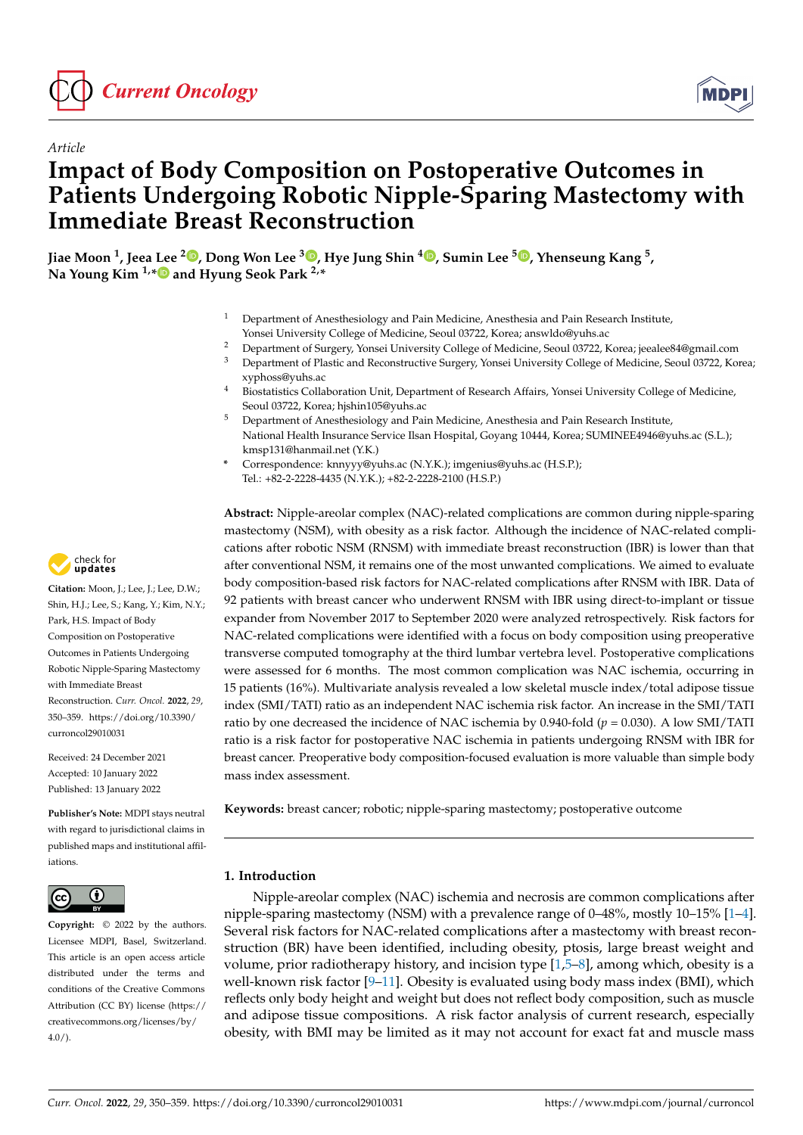

*Article*



# **Impact of Body Composition on Postoperative Outcomes in Patients Undergoing Robotic Nipple-Sparing Mastectomy with Immediate Breast Reconstruction**

**Jiae Moon <sup>1</sup> , Jeea Lee <sup>2</sup> [,](https://orcid.org/0000-0003-3145-2205) Dong Won Lee [3](https://orcid.org/0000-0003-0046-3139) , Hye Jung Shin <sup>4</sup> [,](https://orcid.org/0000-0001-5346-7278) Sumin Lee <sup>5</sup> [,](https://orcid.org/0000-0003-4437-2079) Yhenseung Kang <sup>5</sup> , Na Young Kim 1,[\\*](https://orcid.org/0000-0003-3685-2005) and Hyung Seok Park 2,\***

- <sup>1</sup> Department of Anesthesiology and Pain Medicine, Anesthesia and Pain Research Institute, Yonsei University College of Medicine, Seoul 03722, Korea; answldo@yuhs.ac
- <sup>2</sup> Department of Surgery, Yonsei University College of Medicine, Seoul 03722, Korea; jeealee84@gmail.com<br><sup>3</sup> Department of Plastic and Reconstructive Surgery, Yonsei University College of Medicine, Seoul 03722, Kor
- <sup>3</sup> Department of Plastic and Reconstructive Surgery, Yonsei University College of Medicine, Seoul 03722, Korea; xyphoss@yuhs.ac
- <sup>4</sup> Biostatistics Collaboration Unit, Department of Research Affairs, Yonsei University College of Medicine, Seoul 03722, Korea; hjshin105@yuhs.ac
- <sup>5</sup> Department of Anesthesiology and Pain Medicine, Anesthesia and Pain Research Institute, National Health Insurance Service Ilsan Hospital, Goyang 10444, Korea; SUMINEE4946@yuhs.ac (S.L.); kmsp131@hanmail.net (Y.K.)
- **\*** Correspondence: knnyyy@yuhs.ac (N.Y.K.); imgenius@yuhs.ac (H.S.P.); Tel.: +82-2-2228-4435 (N.Y.K.); +82-2-2228-2100 (H.S.P.)

**Abstract:** Nipple-areolar complex (NAC)-related complications are common during nipple-sparing mastectomy (NSM), with obesity as a risk factor. Although the incidence of NAC-related complications after robotic NSM (RNSM) with immediate breast reconstruction (IBR) is lower than that after conventional NSM, it remains one of the most unwanted complications. We aimed to evaluate body composition-based risk factors for NAC-related complications after RNSM with IBR. Data of 92 patients with breast cancer who underwent RNSM with IBR using direct-to-implant or tissue expander from November 2017 to September 2020 were analyzed retrospectively. Risk factors for NAC-related complications were identified with a focus on body composition using preoperative transverse computed tomography at the third lumbar vertebra level. Postoperative complications were assessed for 6 months. The most common complication was NAC ischemia, occurring in 15 patients (16%). Multivariate analysis revealed a low skeletal muscle index/total adipose tissue index (SMI/TATI) ratio as an independent NAC ischemia risk factor. An increase in the SMI/TATI ratio by one decreased the incidence of NAC ischemia by 0.940-fold (*p* = 0.030). A low SMI/TATI ratio is a risk factor for postoperative NAC ischemia in patients undergoing RNSM with IBR for breast cancer. Preoperative body composition-focused evaluation is more valuable than simple body mass index assessment.

**Keywords:** breast cancer; robotic; nipple-sparing mastectomy; postoperative outcome

### **1. Introduction**

Nipple-areolar complex (NAC) ischemia and necrosis are common complications after nipple-sparing mastectomy (NSM) with a prevalence range of 0–48%, mostly 10–15% [\[1](#page-7-0)[–4\]](#page-7-1). Several risk factors for NAC-related complications after a mastectomy with breast reconstruction (BR) have been identified, including obesity, ptosis, large breast weight and volume, prior radiotherapy history, and incision type [\[1](#page-7-0)[,5](#page-7-2)[–8\]](#page-8-0), among which, obesity is a well-known risk factor [\[9](#page-8-1)[–11\]](#page-8-2). Obesity is evaluated using body mass index (BMI), which reflects only body height and weight but does not reflect body composition, such as muscle and adipose tissue compositions. A risk factor analysis of current research, especially obesity, with BMI may be limited as it may not account for exact fat and muscle mass



**Citation:** Moon, J.; Lee, J.; Lee, D.W.; Shin, H.J.; Lee, S.; Kang, Y.; Kim, N.Y.; Park, H.S. Impact of Body Composition on Postoperative Outcomes in Patients Undergoing Robotic Nipple-Sparing Mastectomy with Immediate Breast Reconstruction. *Curr. Oncol.* **2022**, *29*, 350–359. [https://doi.org/10.3390/](https://doi.org/10.3390/curroncol29010031) [curroncol29010031](https://doi.org/10.3390/curroncol29010031)

Received: 24 December 2021 Accepted: 10 January 2022 Published: 13 January 2022

**Publisher's Note:** MDPI stays neutral with regard to jurisdictional claims in published maps and institutional affiliations.



**Copyright:** © 2022 by the authors. Licensee MDPI, Basel, Switzerland. This article is an open access article distributed under the terms and conditions of the Creative Commons Attribution (CC BY) license [\(https://](https://creativecommons.org/licenses/by/4.0/) [creativecommons.org/licenses/by/](https://creativecommons.org/licenses/by/4.0/)  $4.0/$ ).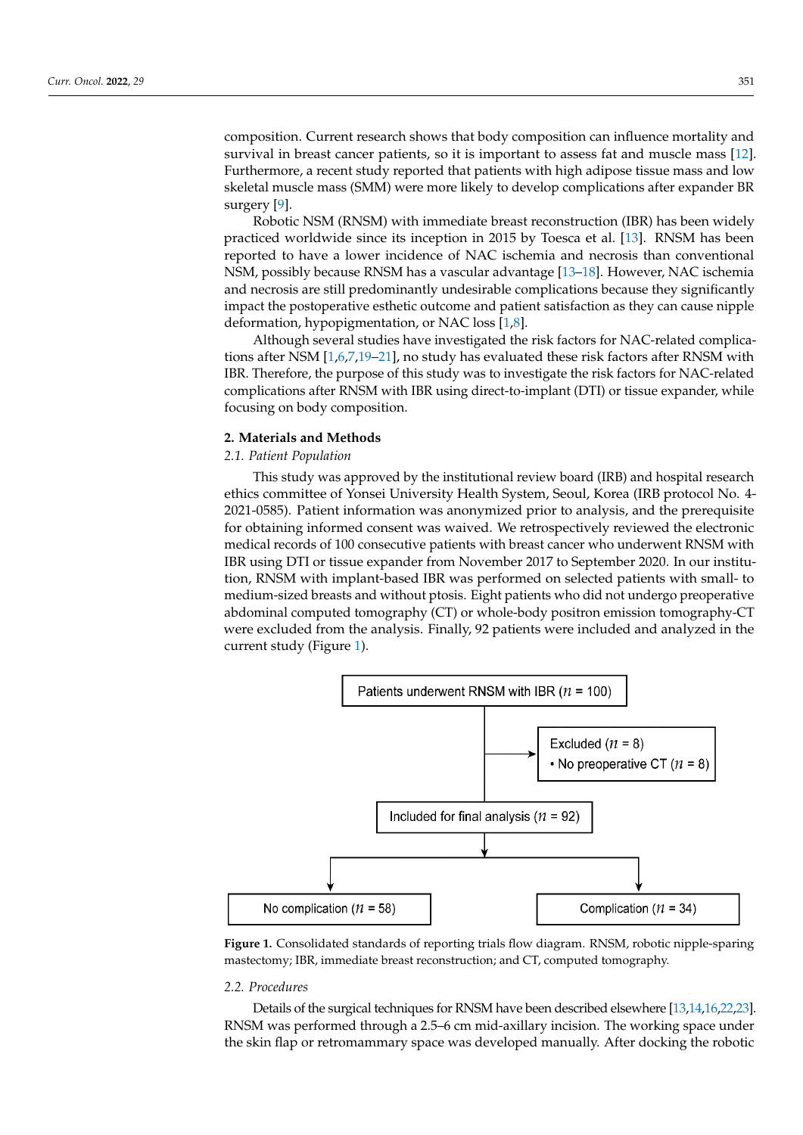composition. Current research shows that body composition can influence mortality and survival in breast cancer patients, so it is important to assess fat and muscle mass [12]. Furthermore, a recent study reported that patients with high adipose tissue mass and low skeletal muscle mass (SMM) were more likely to develop complications after expander BR surgery [9].  $\text{P}(9)$ .

pecially obesity, with BMI may be limited as it may not account for exact fat and muscle

Robotic NSM (RNSM) with immediate breast reconstruction (IBR) has been widely practiced worldwide since its inception in 2015 by Toesca et al. [\[13\]](#page-8-4). RNSM has been reported to have a lower incidence of NAC ischemia and necrosis than conventional practiced worldwide since its inception in 2015 by Toesca et al. [13]. RNSM has been<br>reported to have a lower incidence of NAC ischemia and necrosis than conventional<br>NSM, possibly [beca](#page-8-5)use RNSM has a vascular advantage [13 and necrosis are still predominantly undesirable complications because they significantly impact the postoperative esthetic outcome and patient satisfaction as they can cause nipple deformation, hypopigmentation, or NAC loss  $[1,8]$  $[1,8]$ .

Although several studies have investigated the risk factors for NAC-related complications after NSM  $[1,6,7,19-21]$  $[1,6,7,19-21]$  $[1,6,7,19-21]$  $[1,6,7,19-21]$  $[1,6,7,19-21]$ , no study has evaluated these risk factors after RNSM with IBR. Therefore, the purpose of this study was to investigate the risk factors for NAC-related  $\,$ complications after RNSM with IBR using direct-to-implant (DTI) or tissue expander, while focusing on body composition.

## **2. Materials and Methods 2. Materials and Methods**

### *2.1. Patient Population 2.1. Patient Population*

This study was approved by the institutional review board (IRB) and hospital research ethics committee of Yonsei University Health System, Seoul, Korea (IRB protocol No. 4-2021-0585). Patient information was anonymized prior to analysis, and the prerequisite for obtaining informed consent was waived. We retrospectively reviewed the electronic medical records of 100 consecutive patients with breast cancer who underwent RNSM with IBR using DTI or tissue expander from November 2017 to September 2020. In our institution, RNSM with implant-based IBR was performed on selected patients with small- to medium-sized breasts and without ptosis. Eight patients who did not undergo preoperative abdominal computed tomography (CT) or whole-body positron emission tomography-CT were excluded from the analysis. Finally, 92 patients were included and analyzed in the current study (Figure [1\)](#page-1-0).

<span id="page-1-0"></span>

**Figure 1.** Consolidated standards of reporting trials flow diagram. RNSM, robotic nipple-sparing **Figure 1.** Consolidated standards of reporting trials flow diagram. RNSM, robotic nipple-sparing mastectomy; IBR, immediate breast reconstruction; and CT, computed tomography**.**  mastectomy; IBR, immediate breast reconstruction; and CT, computed tomography.

#### *2.2. Procedures*

Details of the surgical techniques for RNSM have been described elsewhere [\[13,](#page-8-4)[14](#page-8-9)[,16](#page-8-10)[,22](#page-8-11)[,23\]](#page-8-12). RNSM was performed through a 2.5–6 cm mid-axillary incision. The working space under the skin flap or retromammary space was developed manually. After docking the robotic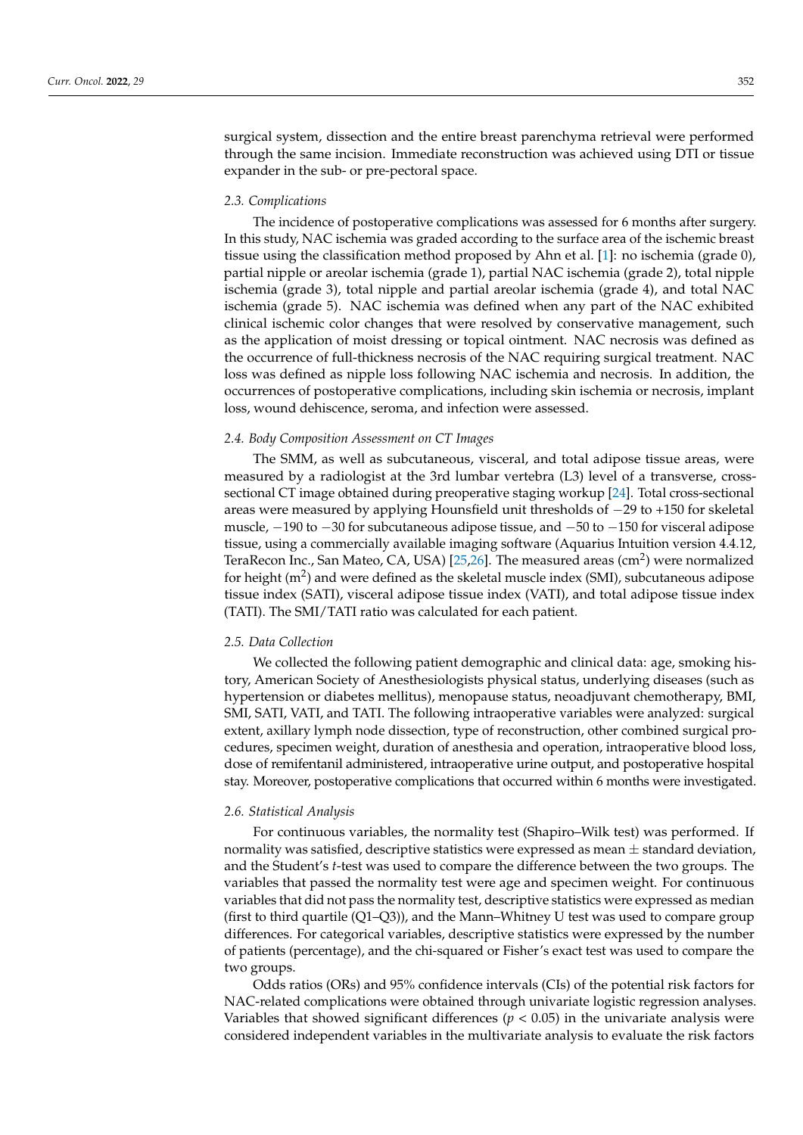surgical system, dissection and the entire breast parenchyma retrieval were performed through the same incision. Immediate reconstruction was achieved using DTI or tissue expander in the sub- or pre-pectoral space.

#### *2.3. Complications*

The incidence of postoperative complications was assessed for 6 months after surgery. In this study, NAC ischemia was graded according to the surface area of the ischemic breast tissue using the classification method proposed by Ahn et al. [\[1\]](#page-7-0): no ischemia (grade 0), partial nipple or areolar ischemia (grade 1), partial NAC ischemia (grade 2), total nipple ischemia (grade 3), total nipple and partial areolar ischemia (grade 4), and total NAC ischemia (grade 5). NAC ischemia was defined when any part of the NAC exhibited clinical ischemic color changes that were resolved by conservative management, such as the application of moist dressing or topical ointment. NAC necrosis was defined as the occurrence of full-thickness necrosis of the NAC requiring surgical treatment. NAC loss was defined as nipple loss following NAC ischemia and necrosis. In addition, the occurrences of postoperative complications, including skin ischemia or necrosis, implant loss, wound dehiscence, seroma, and infection were assessed.

#### *2.4. Body Composition Assessment on CT Images*

The SMM, as well as subcutaneous, visceral, and total adipose tissue areas, were measured by a radiologist at the 3rd lumbar vertebra (L3) level of a transverse, crosssectional CT image obtained during preoperative staging workup [\[24\]](#page-8-13). Total cross-sectional areas were measured by applying Hounsfield unit thresholds of −29 to +150 for skeletal muscle, −190 to −30 for subcutaneous adipose tissue, and −50 to −150 for visceral adipose tissue, using a commercially available imaging software (Aquarius Intuition version 4.4.12, TeraRecon Inc., San Mateo, CA, USA) [\[25](#page-8-14)[,26\]](#page-8-15). The measured areas (cm<sup>2</sup>) were normalized for height (m<sup>2</sup>) and were defined as the skeletal muscle index (SMI), subcutaneous adipose tissue index (SATI), visceral adipose tissue index (VATI), and total adipose tissue index (TATI). The SMI/TATI ratio was calculated for each patient.

#### *2.5. Data Collection*

We collected the following patient demographic and clinical data: age, smoking history, American Society of Anesthesiologists physical status, underlying diseases (such as hypertension or diabetes mellitus), menopause status, neoadjuvant chemotherapy, BMI, SMI, SATI, VATI, and TATI. The following intraoperative variables were analyzed: surgical extent, axillary lymph node dissection, type of reconstruction, other combined surgical procedures, specimen weight, duration of anesthesia and operation, intraoperative blood loss, dose of remifentanil administered, intraoperative urine output, and postoperative hospital stay. Moreover, postoperative complications that occurred within 6 months were investigated.

#### *2.6. Statistical Analysis*

For continuous variables, the normality test (Shapiro–Wilk test) was performed. If normality was satisfied, descriptive statistics were expressed as mean  $\pm$  standard deviation, and the Student's *t*-test was used to compare the difference between the two groups. The variables that passed the normality test were age and specimen weight. For continuous variables that did not pass the normality test, descriptive statistics were expressed as median (first to third quartile (Q1–Q3)), and the Mann–Whitney U test was used to compare group differences. For categorical variables, descriptive statistics were expressed by the number of patients (percentage), and the chi-squared or Fisher's exact test was used to compare the two groups.

Odds ratios (ORs) and 95% confidence intervals (CIs) of the potential risk factors for NAC-related complications were obtained through univariate logistic regression analyses. Variables that showed significant differences ( $p < 0.05$ ) in the univariate analysis were considered independent variables in the multivariate analysis to evaluate the risk factors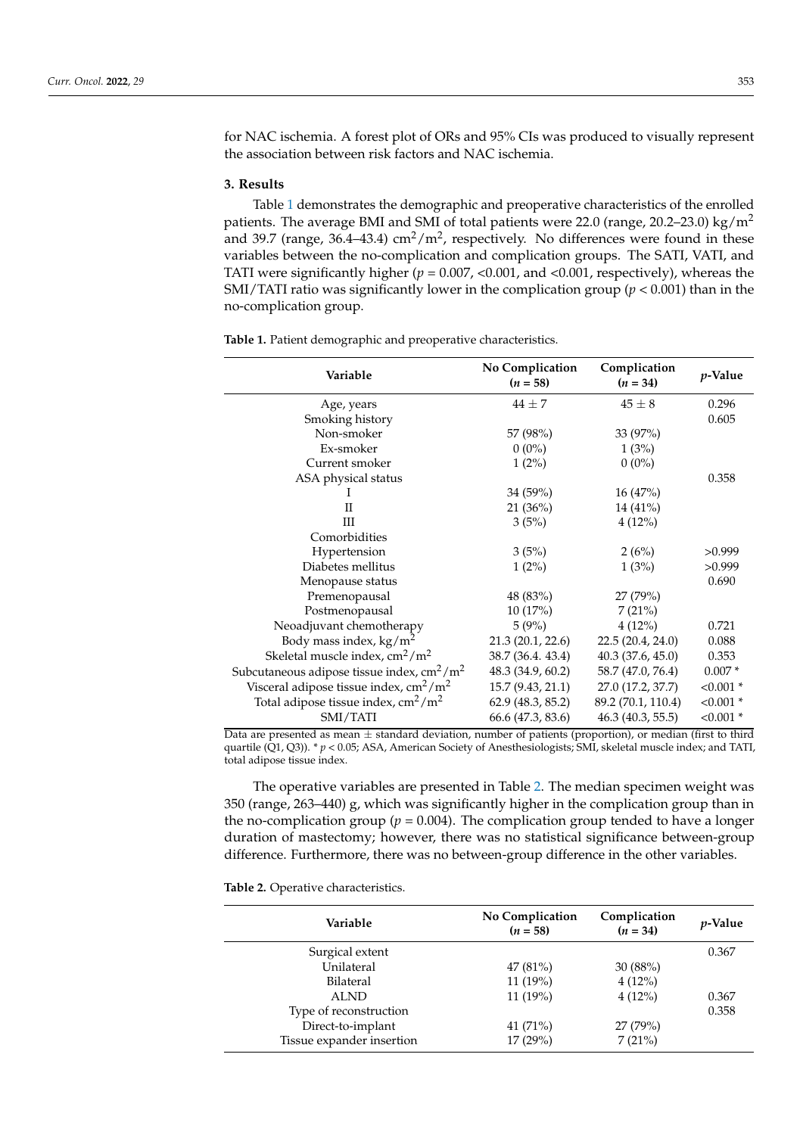for NAC ischemia. A forest plot of ORs and 95% CIs was produced to visually represent the association between risk factors and NAC ischemia.

#### **3. Results**

Table [1](#page-3-0) demonstrates the demographic and preoperative characteristics of the enrolled patients. The average BMI and SMI of total patients were 22.0 (range, 20.2–23.0) kg/m<sup>2</sup> and 39.7 (range, 36.4–43.4)  $\text{cm}^2/\text{m}^2$ , respectively. No differences were found in these variables between the no-complication and complication groups. The SATI, VATI, and TATI were significantly higher ( $p = 0.007$ , <0.001, and <0.001, respectively), whereas the SMI/TATI ratio was significantly lower in the complication group ( $p < 0.001$ ) than in the no-complication group.

**Variable No Complication**  $(n = 58)$ **Complication**  $(n = 34)$  *p*-Value Age, years  $44 \pm 7$   $45 \pm 8$  0.296 Smoking history 0.605 Non-smoker 57 (98%) 33 (97%) Ex-smoker  $0 (0\%)$  1 (3%) Current smoker  $1 (2\%)$   $0 (0\%)$ ASA physical status 0.358  $I$  34 (59%) 16 (47%)<br>II 21 (36%) 14 (41%) II 21 (36%) 14 (41%)<br>
II 3 (5%) 4 (12%)  $3(5%)$   $4(12%)$ Comorbidities Hypertension  $3 (5\%)$   $2 (6\%)$   $>0.999$ Diabetes mellitus  $1 (2\%)$   $1 (3\%)$   $> 0.999$ Menopause status 0.690 Premenopausal 48 (83%) 27 (79%) Postmenopausal 10 (17%) 7 (21%) Neoadjuvant chemotherapy  $5(9\%)$   $4(12\%)$  0.721 Body mass index,  $\text{kg/m}^2$  21.3 (20.1, 22.6) 22.5 (20.4, 24.0) 0.088 Skeletal muscle index,  $\text{cm}^2/\text{m}^2$  38.7 (36.4. 43.4) 40.3 (37.6, 45.0) 0.353 Subcutaneous adipose tissue index,  $\text{cm}^2/\text{m}^2$  48.3 (34.9, 60.2) 58.7 (47.0, 76.4) 0.007 \* Visceral adipose tissue index,  $\text{cm}^2/\text{m}^2$  15.7 (9.43, 21.1) 27.0 (17.2, 37.7) <0.001 \* Total adipose tissue index,  $\text{cm}^2/\text{m}^2$  62.9 (48.3, 85.2) 89.2 (70.1, 110.4) <0.001 \* SMI/TATI 66.6 (47.3, 83.6) 46.3 (40.3, 55.5) <0.001 \*

<span id="page-3-0"></span>**Table 1.** Patient demographic and preoperative characteristics.

Data are presented as mean  $\pm$  standard deviation, number of patients (proportion), or median (first to third quartile (Q1, Q3)). \* *p* < 0.05; ASA, American Society of Anesthesiologists; SMI, skeletal muscle index; and TATI, total adipose tissue index.

The operative variables are presented in Table [2.](#page-4-0) The median specimen weight was 350 (range, 263–440) g, which was significantly higher in the complication group than in the no-complication group ( $p = 0.004$ ). The complication group tended to have a longer duration of mastectomy; however, there was no statistical significance between-group difference. Furthermore, there was no between-group difference in the other variables.

**Table 2.** Operative characteristics.

| Variable                  | <b>No Complication</b><br>$(n = 58)$ | Complication<br>$(n = 34)$ | <i>p</i> -Value |
|---------------------------|--------------------------------------|----------------------------|-----------------|
| Surgical extent           |                                      |                            | 0.367           |
| Unilateral                | 47(81%)                              | 30(88%)                    |                 |
| Bilateral                 | $11(19\%)$                           | 4(12%)                     |                 |
| <b>ALND</b>               | 11 (19%)                             | 4(12%)                     | 0.367           |
| Type of reconstruction    |                                      |                            | 0.358           |
| Direct-to-implant         | 41 (71%)                             | 27(79%)                    |                 |
| Tissue expander insertion | 17(29%)                              | 7(21%)                     |                 |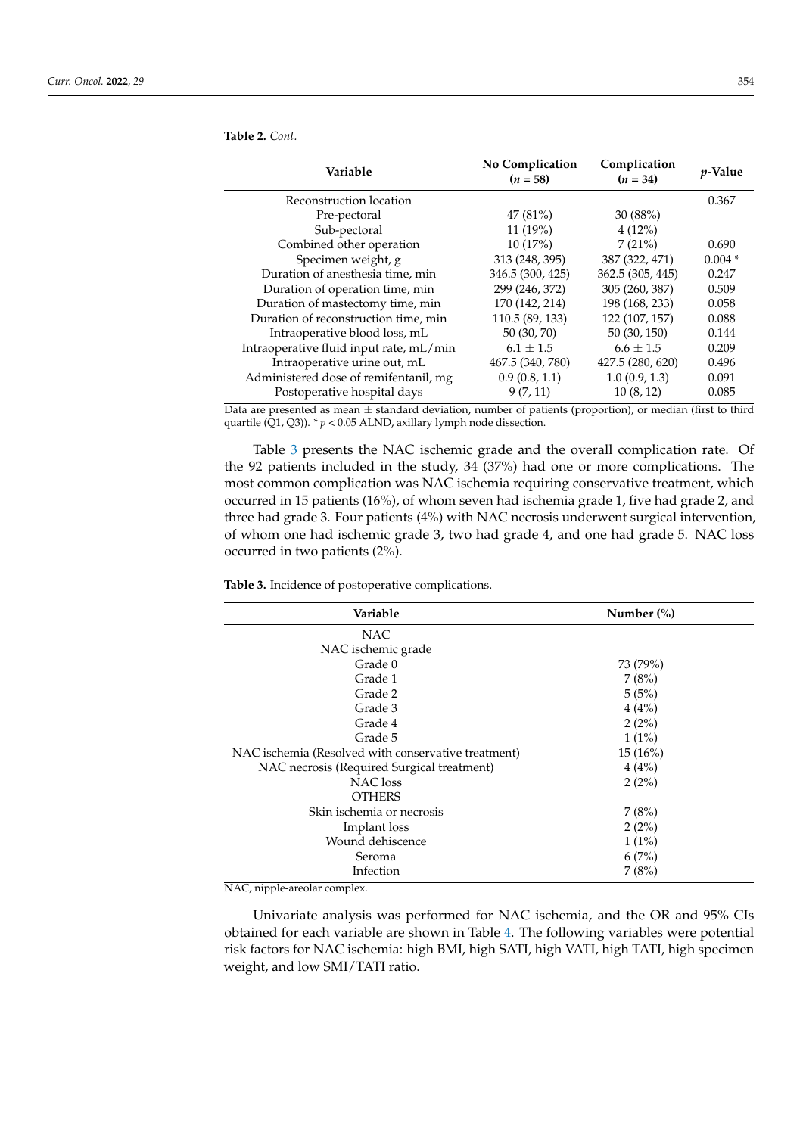<span id="page-4-0"></span>**Table 2.** *Cont.*

| Variable                                | <b>No Complication</b><br>$(n = 58)$ |                  | <i>p</i> -Value |
|-----------------------------------------|--------------------------------------|------------------|-----------------|
| Reconstruction location                 |                                      |                  | 0.367           |
| Pre-pectoral                            | 47(81%)                              | 30(88%)          |                 |
| Sub-pectoral                            | 11 (19%)                             | 4(12%)           |                 |
| Combined other operation                | 10(17%)                              | 7(21%)           | 0.690           |
| Specimen weight, g                      | 313 (248, 395)                       | 387 (322, 471)   | $0.004*$        |
| Duration of anesthesia time, min        | 346.5 (300, 425)                     | 362.5 (305, 445) | 0.247           |
| Duration of operation time, min         | 299 (246, 372)                       | 305 (260, 387)   | 0.509           |
| Duration of mastectomy time, min        | 170 (142, 214)                       | 198 (168, 233)   | 0.058           |
| Duration of reconstruction time, min    | 110.5 (89, 133)                      | 122 (107, 157)   | 0.088           |
| Intraoperative blood loss, mL           | 50 (30, 70)                          | 50(30, 150)      | 0.144           |
| Intraoperative fluid input rate, mL/min | $6.1 \pm 1.5$                        | $6.6 \pm 1.5$    | 0.209           |
| Intraoperative urine out, mL            | 467.5 (340, 780)                     | 427.5 (280, 620) | 0.496           |
| Administered dose of remifentanil, mg   | 0.9(0.8, 1.1)                        | 1.0(0.9, 1.3)    | 0.091           |
| Postoperative hospital days             | 9(7, 11)                             | 10(8, 12)        | 0.085           |

Data are presented as mean  $\pm$  standard deviation, number of patients (proportion), or median (first to third quartile  $(Q1, Q3)$ ). \*  $p < 0.05$  ALND, axillary lymph node dissection.

Table [3](#page-4-1) presents the NAC ischemic grade and the overall complication rate. Of the 92 patients included in the study, 34 (37%) had one or more complications. The most common complication was NAC ischemia requiring conservative treatment, which occurred in 15 patients (16%), of whom seven had ischemia grade 1, five had grade 2, and three had grade 3. Four patients (4%) with NAC necrosis underwent surgical intervention, of whom one had ischemic grade 3, two had grade 4, and one had grade 5. NAC loss occurred in two patients (2%).

<span id="page-4-1"></span>**Table 3.** Incidence of postoperative complications.

| Variable                                            | Number $(\%)$ |  |
|-----------------------------------------------------|---------------|--|
| NAC.                                                |               |  |
| NAC ischemic grade                                  |               |  |
| Grade 0                                             | 73 (79%)      |  |
| Grade 1                                             | 7(8%)         |  |
| Grade 2                                             | 5(5%)         |  |
| Grade 3                                             | 4(4%)         |  |
| Grade 4                                             | 2(2%)         |  |
| Grade 5                                             | $1(1\%)$      |  |
| NAC ischemia (Resolved with conservative treatment) | 15(16%)       |  |
| NAC necrosis (Required Surgical treatment)          | 4(4%)         |  |
| NAC loss                                            | 2(2%)         |  |
| <b>OTHERS</b>                                       |               |  |
| Skin ischemia or necrosis                           | 7(8%)         |  |
| Implant loss                                        | 2(2%)         |  |
| Wound dehiscence                                    | $1(1\%)$      |  |
| Seroma                                              | 6(7%)         |  |
| Infection<br>$\cdots$<br>п.                         | 7(8%)         |  |

NAC, nipple-areolar complex.

Univariate analysis was performed for NAC ischemia, and the OR and 95% CIs obtained for each variable are shown in Table [4.](#page-5-0) The following variables were potential risk factors for NAC ischemia: high BMI, high SATI, high VATI, high TATI, high specimen weight, and low SMI/TATI ratio.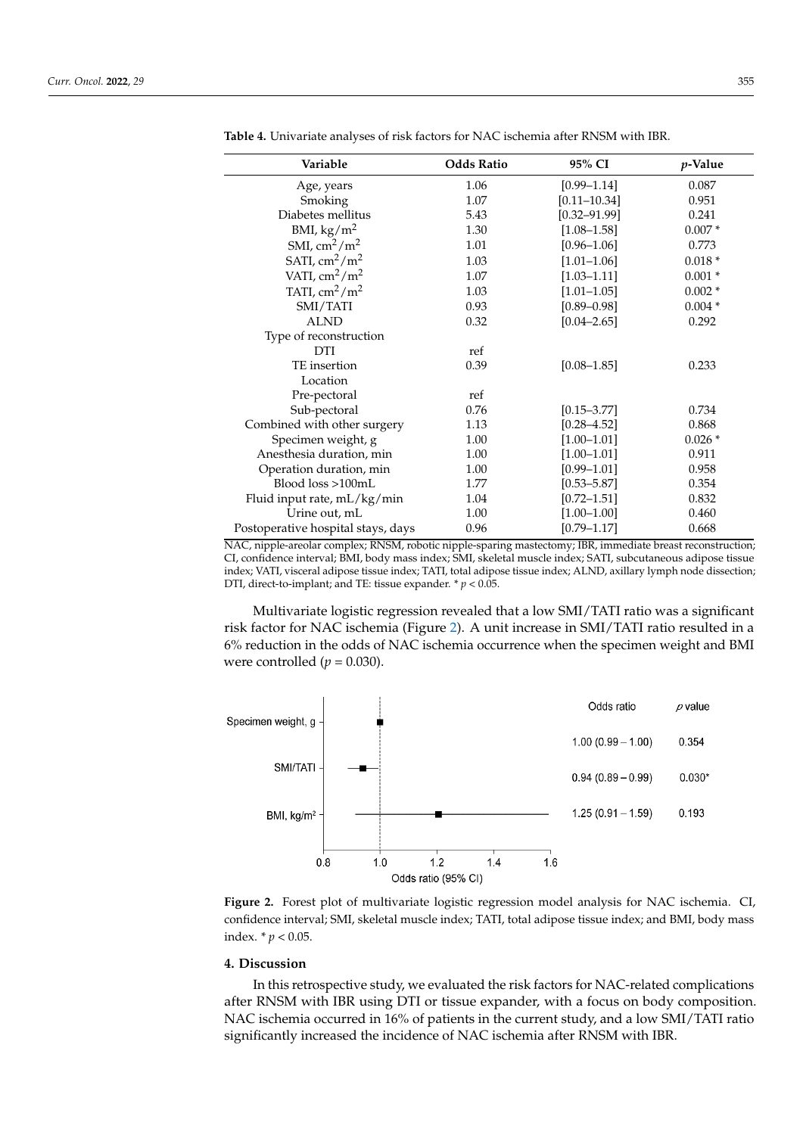| Variable                           | <b>Odds Ratio</b> | 95% CI           | <i>p</i> -Value |
|------------------------------------|-------------------|------------------|-----------------|
| Age, years                         | 1.06              | $[0.99 - 1.14]$  | 0.087           |
| Smoking                            | 1.07              | $[0.11 - 10.34]$ | 0.951           |
| Diabetes mellitus                  | 5.43              | $[0.32 - 91.99]$ | 0.241           |
| BMI, $\text{kg/m}^2$               | 1.30              | $[1.08 - 1.58]$  | $0.007*$        |
| SMI, $\text{cm}^2/\text{m}^2$      | 1.01              | $[0.96 - 1.06]$  | 0.773           |
| SATI, $\text{cm}^2/\text{m}^2$     | 1.03              | $[1.01 - 1.06]$  | $0.018*$        |
| VATI, $\text{cm}^2/\text{m}^2$     | 1.07              | $[1.03 - 1.11]$  | $0.001 *$       |
| TATI, $\text{cm}^2/\text{m}^2$     | 1.03              | $[1.01 - 1.05]$  | $0.002*$        |
| SMI/TATI                           | 0.93              | $[0.89 - 0.98]$  | $0.004*$        |
| <b>ALND</b>                        | 0.32              | $[0.04 - 2.65]$  | 0.292           |
| Type of reconstruction             |                   |                  |                 |
| <b>DTI</b>                         | ref               |                  |                 |
| TE insertion                       | 0.39              | $[0.08 - 1.85]$  | 0.233           |
| Location                           |                   |                  |                 |
| Pre-pectoral                       | ref               |                  |                 |
| Sub-pectoral                       | 0.76              | $[0.15 - 3.77]$  | 0.734           |
| Combined with other surgery        | 1.13              | $[0.28 - 4.52]$  | 0.868           |
| Specimen weight, g                 | 1.00              | $[1.00 - 1.01]$  | $0.026*$        |
| Anesthesia duration, min           | 1.00              | $[1.00 - 1.01]$  | 0.911           |
| Operation duration, min            | 1.00              | $[0.99 - 1.01]$  | 0.958           |
| Blood loss >100mL                  | 1.77              | $[0.53 - 5.87]$  | 0.354           |
| Fluid input rate, mL/kg/min        | 1.04              | $[0.72 - 1.51]$  | 0.832           |
| Urine out, mL                      | 1.00              | $[1.00 - 1.00]$  | 0.460           |
| Postoperative hospital stays, days | 0.96              | $[0.79 - 1.17]$  | 0.668           |

<span id="page-5-0"></span>**Table 4.** Univariate analyses of risk factors for NAC ischemia after RNSM with IBR. **Table 4.** Univariate analyses of risk factors for NAC ischemia after RNSM with IBR.

weight, and low SMI/TATI ratio. The small ratio of the small ratio  $\sim$ 

NAC, nipple-areolar complex; RNSM, robotic nipple-sparing mastectomy; IBR, immediate breast reconstruction; CI, confidence interval; BMI, body mass index; SMI, skeletal muscle index; SATI, subcutaneous adipose tissue<br>index; ALND, and TE: tissue expanding the distribution; provided by the distribution; provided by the distribu index; VATI, visceral adipose tissue index; TATI, total adipose tissue index; ALND, axillary lymph node dissection; DTI, direct-to-implant; and TE: tissue expander.  $* p < 0.05$ .

Multivariate logistic regression revealed that a low SMI/TATI ratio was a significant Multivariate logistic regression revealed that a low SMI/TATI ratio was a significant risk factor for NAC ischemia (Figure [2\).](#page-5-1) A unit increase in SMI/TATI ratio resulted in a 6% reduction in the odds of NAC ischemia occurrence when the specimen weight and BMI 6% reduction in the odds of NAC ischemia occurrence when the specimen weight and were controlled  $(p = 0.030)$ .

<span id="page-5-1"></span>

**Figure 2.** Forest plot of multivariate logistic regression model analysis for NAC ischemia. CI, dence interval; SMI, skeletal muscle index; TATI, total adipose tissue index; and BMI, body mass confidence interval; SMI, skeletal muscle index; TATI, total adipose tissue index; and BMI, body mass index.  $*$   $p$  < 0.05.

#### **4. Discussion**

In this retrospective study, we evaluated the risk factors for NAC-related complications after RNSM with IBR using DTI or tissue expander, with a focus on body composition. NAC ischemia occurred in 16% of patients in the current study, and a low SMI/TATI ratio significantly increased the incidence of NAC ischemia after RNSM with IBR.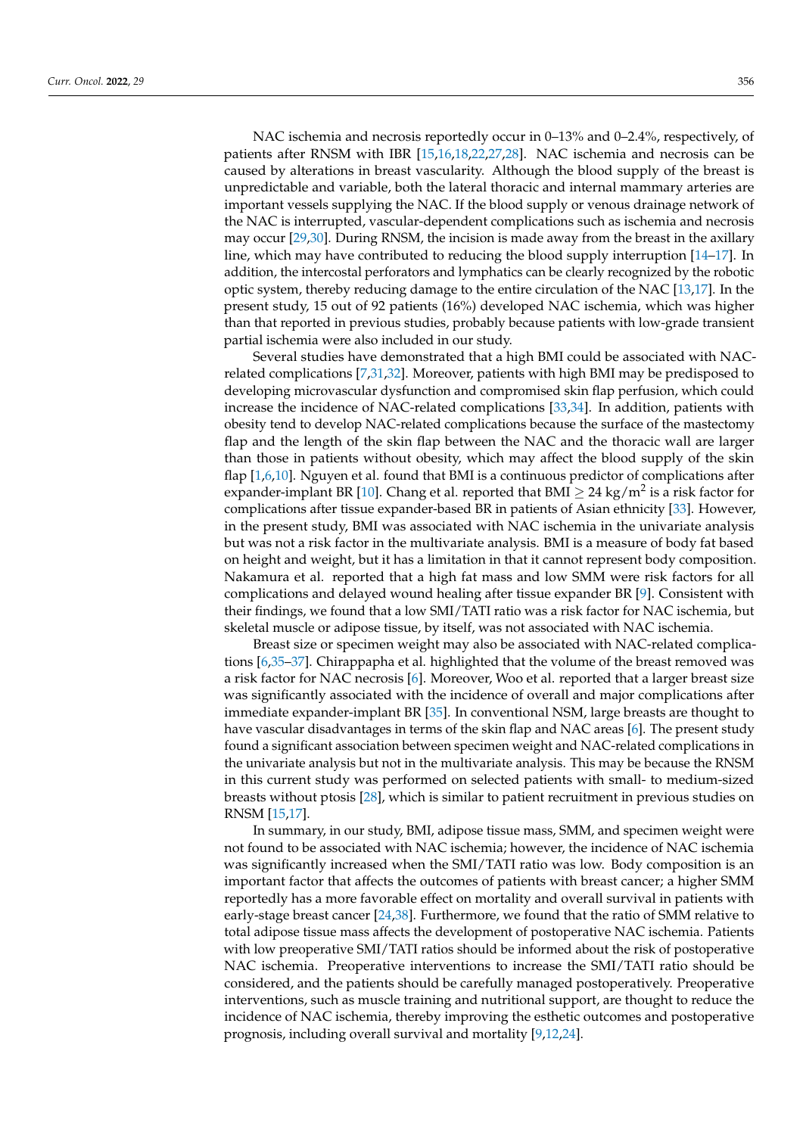NAC ischemia and necrosis reportedly occur in 0–13% and 0–2.4%, respectively, of patients after RNSM with IBR [\[15](#page-8-16)[,16](#page-8-10)[,18](#page-8-5)[,22](#page-8-11)[,27](#page-8-17)[,28\]](#page-8-18). NAC ischemia and necrosis can be caused by alterations in breast vascularity. Although the blood supply of the breast is unpredictable and variable, both the lateral thoracic and internal mammary arteries are important vessels supplying the NAC. If the blood supply or venous drainage network of the NAC is interrupted, vascular-dependent complications such as ischemia and necrosis may occur [\[29,](#page-8-19)[30\]](#page-8-20). During RNSM, the incision is made away from the breast in the axillary line, which may have contributed to reducing the blood supply interruption [\[14](#page-8-9)[–17\]](#page-8-21). In addition, the intercostal perforators and lymphatics can be clearly recognized by the robotic optic system, thereby reducing damage to the entire circulation of the NAC [\[13](#page-8-4)[,17\]](#page-8-21). In the present study, 15 out of 92 patients (16%) developed NAC ischemia, which was higher than that reported in previous studies, probably because patients with low-grade transient partial ischemia were also included in our study.

Several studies have demonstrated that a high BMI could be associated with NACrelated complications [\[7,](#page-8-6)[31,](#page-9-0)[32\]](#page-9-1). Moreover, patients with high BMI may be predisposed to developing microvascular dysfunction and compromised skin flap perfusion, which could increase the incidence of NAC-related complications [\[33,](#page-9-2)[34\]](#page-9-3). In addition, patients with obesity tend to develop NAC-related complications because the surface of the mastectomy flap and the length of the skin flap between the NAC and the thoracic wall are larger than those in patients without obesity, which may affect the blood supply of the skin flap [\[1](#page-7-0)[,6](#page-7-3)[,10\]](#page-8-22). Nguyen et al. found that BMI is a continuous predictor of complications after expander-implant BR [\[10\]](#page-8-22). Chang et al. reported that BMI  $\geq$  24 kg/m<sup>2</sup> is a risk factor for complications after tissue expander-based BR in patients of Asian ethnicity [\[33\]](#page-9-2). However, in the present study, BMI was associated with NAC ischemia in the univariate analysis but was not a risk factor in the multivariate analysis. BMI is a measure of body fat based on height and weight, but it has a limitation in that it cannot represent body composition. Nakamura et al. reported that a high fat mass and low SMM were risk factors for all complications and delayed wound healing after tissue expander BR [\[9\]](#page-8-1). Consistent with their findings, we found that a low SMI/TATI ratio was a risk factor for NAC ischemia, but skeletal muscle or adipose tissue, by itself, was not associated with NAC ischemia.

Breast size or specimen weight may also be associated with NAC-related complications [\[6,](#page-7-3)[35](#page-9-4)[–37\]](#page-9-5). Chirappapha et al. highlighted that the volume of the breast removed was a risk factor for NAC necrosis [\[6\]](#page-7-3). Moreover, Woo et al. reported that a larger breast size was significantly associated with the incidence of overall and major complications after immediate expander-implant BR [\[35\]](#page-9-4). In conventional NSM, large breasts are thought to have vascular disadvantages in terms of the skin flap and NAC areas [\[6\]](#page-7-3). The present study found a significant association between specimen weight and NAC-related complications in the univariate analysis but not in the multivariate analysis. This may be because the RNSM in this current study was performed on selected patients with small- to medium-sized breasts without ptosis [\[28\]](#page-8-18), which is similar to patient recruitment in previous studies on RNSM [\[15,](#page-8-16)[17\]](#page-8-21).

In summary, in our study, BMI, adipose tissue mass, SMM, and specimen weight were not found to be associated with NAC ischemia; however, the incidence of NAC ischemia was significantly increased when the SMI/TATI ratio was low. Body composition is an important factor that affects the outcomes of patients with breast cancer; a higher SMM reportedly has a more favorable effect on mortality and overall survival in patients with early-stage breast cancer [\[24](#page-8-13)[,38\]](#page-9-6). Furthermore, we found that the ratio of SMM relative to total adipose tissue mass affects the development of postoperative NAC ischemia. Patients with low preoperative SMI/TATI ratios should be informed about the risk of postoperative NAC ischemia. Preoperative interventions to increase the SMI/TATI ratio should be considered, and the patients should be carefully managed postoperatively. Preoperative interventions, such as muscle training and nutritional support, are thought to reduce the incidence of NAC ischemia, thereby improving the esthetic outcomes and postoperative prognosis, including overall survival and mortality [\[9,](#page-8-1)[12,](#page-8-3)[24\]](#page-8-13).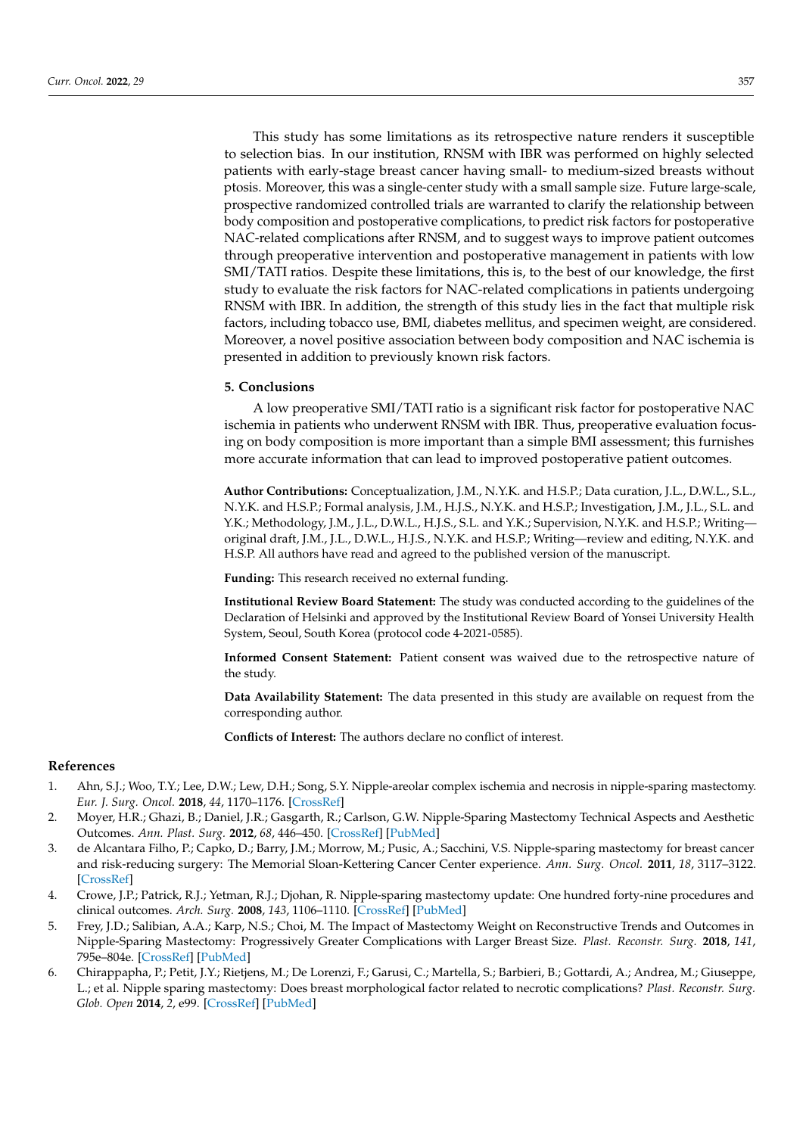This study has some limitations as its retrospective nature renders it susceptible to selection bias. In our institution, RNSM with IBR was performed on highly selected patients with early-stage breast cancer having small- to medium-sized breasts without ptosis. Moreover, this was a single-center study with a small sample size. Future large-scale, prospective randomized controlled trials are warranted to clarify the relationship between body composition and postoperative complications, to predict risk factors for postoperative NAC-related complications after RNSM, and to suggest ways to improve patient outcomes through preoperative intervention and postoperative management in patients with low SMI/TATI ratios. Despite these limitations, this is, to the best of our knowledge, the first study to evaluate the risk factors for NAC-related complications in patients undergoing RNSM with IBR. In addition, the strength of this study lies in the fact that multiple risk factors, including tobacco use, BMI, diabetes mellitus, and specimen weight, are considered. Moreover, a novel positive association between body composition and NAC ischemia is presented in addition to previously known risk factors.

#### **5. Conclusions**

A low preoperative SMI/TATI ratio is a significant risk factor for postoperative NAC ischemia in patients who underwent RNSM with IBR. Thus, preoperative evaluation focusing on body composition is more important than a simple BMI assessment; this furnishes more accurate information that can lead to improved postoperative patient outcomes.

**Author Contributions:** Conceptualization, J.M., N.Y.K. and H.S.P.; Data curation, J.L., D.W.L., S.L., N.Y.K. and H.S.P.; Formal analysis, J.M., H.J.S., N.Y.K. and H.S.P.; Investigation, J.M., J.L., S.L. and Y.K.; Methodology, J.M., J.L., D.W.L., H.J.S., S.L. and Y.K.; Supervision, N.Y.K. and H.S.P.; Writing original draft, J.M., J.L., D.W.L., H.J.S., N.Y.K. and H.S.P.; Writing—review and editing, N.Y.K. and H.S.P. All authors have read and agreed to the published version of the manuscript.

**Funding:** This research received no external funding.

**Institutional Review Board Statement:** The study was conducted according to the guidelines of the Declaration of Helsinki and approved by the Institutional Review Board of Yonsei University Health System, Seoul, South Korea (protocol code 4-2021-0585).

**Informed Consent Statement:** Patient consent was waived due to the retrospective nature of the study.

**Data Availability Statement:** The data presented in this study are available on request from the corresponding author.

**Conflicts of Interest:** The authors declare no conflict of interest.

#### **References**

- <span id="page-7-0"></span>1. Ahn, S.J.; Woo, T.Y.; Lee, D.W.; Lew, D.H.; Song, S.Y. Nipple-areolar complex ischemia and necrosis in nipple-sparing mastectomy. *Eur. J. Surg. Oncol.* **2018**, *44*, 1170–1176. [\[CrossRef\]](http://doi.org/10.1016/j.ejso.2018.05.006)
- 2. Moyer, H.R.; Ghazi, B.; Daniel, J.R.; Gasgarth, R.; Carlson, G.W. Nipple-Sparing Mastectomy Technical Aspects and Aesthetic Outcomes. *Ann. Plast. Surg.* **2012**, *68*, 446–450. [\[CrossRef\]](http://doi.org/10.1097/SAP.0b013e3182394bba) [\[PubMed\]](http://www.ncbi.nlm.nih.gov/pubmed/22531398)
- 3. de Alcantara Filho, P.; Capko, D.; Barry, J.M.; Morrow, M.; Pusic, A.; Sacchini, V.S. Nipple-sparing mastectomy for breast cancer and risk-reducing surgery: The Memorial Sloan-Kettering Cancer Center experience. *Ann. Surg. Oncol.* **2011**, *18*, 3117–3122. [\[CrossRef\]](http://doi.org/10.1245/s10434-011-1974-y)
- <span id="page-7-1"></span>4. Crowe, J.P.; Patrick, R.J.; Yetman, R.J.; Djohan, R. Nipple-sparing mastectomy update: One hundred forty-nine procedures and clinical outcomes. *Arch. Surg.* **2008**, *143*, 1106–1110. [\[CrossRef\]](http://doi.org/10.1001/archsurg.143.11.1106) [\[PubMed\]](http://www.ncbi.nlm.nih.gov/pubmed/19015470)
- <span id="page-7-2"></span>5. Frey, J.D.; Salibian, A.A.; Karp, N.S.; Choi, M. The Impact of Mastectomy Weight on Reconstructive Trends and Outcomes in Nipple-Sparing Mastectomy: Progressively Greater Complications with Larger Breast Size. *Plast. Reconstr. Surg.* **2018**, *141*, 795e–804e. [\[CrossRef\]](http://doi.org/10.1097/PRS.0000000000004404) [\[PubMed\]](http://www.ncbi.nlm.nih.gov/pubmed/29794693)
- <span id="page-7-3"></span>6. Chirappapha, P.; Petit, J.Y.; Rietjens, M.; De Lorenzi, F.; Garusi, C.; Martella, S.; Barbieri, B.; Gottardi, A.; Andrea, M.; Giuseppe, L.; et al. Nipple sparing mastectomy: Does breast morphological factor related to necrotic complications? *Plast. Reconstr. Surg. Glob. Open* **2014**, *2*, e99. [\[CrossRef\]](http://doi.org/10.1097/GOX.0000000000000038) [\[PubMed\]](http://www.ncbi.nlm.nih.gov/pubmed/25289296)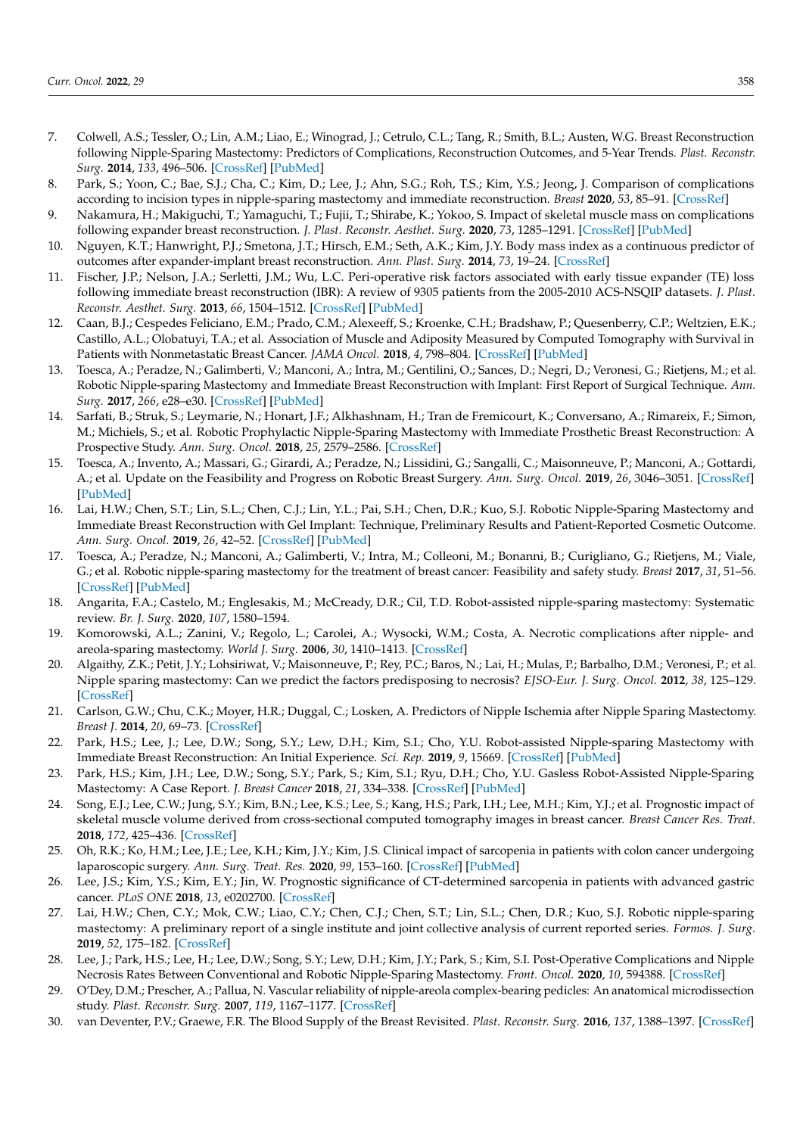- <span id="page-8-6"></span>7. Colwell, A.S.; Tessler, O.; Lin, A.M.; Liao, E.; Winograd, J.; Cetrulo, C.L.; Tang, R.; Smith, B.L.; Austen, W.G. Breast Reconstruction following Nipple-Sparing Mastectomy: Predictors of Complications, Reconstruction Outcomes, and 5-Year Trends. *Plast. Reconstr. Surg.* **2014**, *133*, 496–506. [\[CrossRef\]](http://doi.org/10.1097/01.prs.0000438056.67375.75) [\[PubMed\]](http://www.ncbi.nlm.nih.gov/pubmed/24572843)
- <span id="page-8-0"></span>8. Park, S.; Yoon, C.; Bae, S.J.; Cha, C.; Kim, D.; Lee, J.; Ahn, S.G.; Roh, T.S.; Kim, Y.S.; Jeong, J. Comparison of complications according to incision types in nipple-sparing mastectomy and immediate reconstruction. *Breast* **2020**, *53*, 85–91. [\[CrossRef\]](http://doi.org/10.1016/j.breast.2020.06.009)
- <span id="page-8-1"></span>9. Nakamura, H.; Makiguchi, T.; Yamaguchi, T.; Fujii, T.; Shirabe, K.; Yokoo, S. Impact of skeletal muscle mass on complications following expander breast reconstruction. *J. Plast. Reconstr. Aesthet. Surg.* **2020**, *73*, 1285–1291. [\[CrossRef\]](http://doi.org/10.1016/j.bjps.2020.02.006) [\[PubMed\]](http://www.ncbi.nlm.nih.gov/pubmed/32201325)
- <span id="page-8-22"></span>10. Nguyen, K.T.; Hanwright, P.J.; Smetona, J.T.; Hirsch, E.M.; Seth, A.K.; Kim, J.Y. Body mass index as a continuous predictor of outcomes after expander-implant breast reconstruction. *Ann. Plast. Surg.* **2014**, *73*, 19–24. [\[CrossRef\]](http://doi.org/10.1097/SAP.0b013e318276d91d)
- <span id="page-8-2"></span>11. Fischer, J.P.; Nelson, J.A.; Serletti, J.M.; Wu, L.C. Peri-operative risk factors associated with early tissue expander (TE) loss following immediate breast reconstruction (IBR): A review of 9305 patients from the 2005-2010 ACS-NSQIP datasets. *J. Plast. Reconstr. Aesthet. Surg.* **2013**, *66*, 1504–1512. [\[CrossRef\]](http://doi.org/10.1016/j.bjps.2013.06.030) [\[PubMed\]](http://www.ncbi.nlm.nih.gov/pubmed/23845908)
- <span id="page-8-3"></span>12. Caan, B.J.; Cespedes Feliciano, E.M.; Prado, C.M.; Alexeeff, S.; Kroenke, C.H.; Bradshaw, P.; Quesenberry, C.P.; Weltzien, E.K.; Castillo, A.L.; Olobatuyi, T.A.; et al. Association of Muscle and Adiposity Measured by Computed Tomography with Survival in Patients with Nonmetastatic Breast Cancer. *JAMA Oncol.* **2018**, *4*, 798–804. [\[CrossRef\]](http://doi.org/10.1001/jamaoncol.2018.0137) [\[PubMed\]](http://www.ncbi.nlm.nih.gov/pubmed/29621380)
- <span id="page-8-4"></span>13. Toesca, A.; Peradze, N.; Galimberti, V.; Manconi, A.; Intra, M.; Gentilini, O.; Sances, D.; Negri, D.; Veronesi, G.; Rietjens, M.; et al. Robotic Nipple-sparing Mastectomy and Immediate Breast Reconstruction with Implant: First Report of Surgical Technique. *Ann. Surg.* **2017**, *266*, e28–e30. [\[CrossRef\]](http://doi.org/10.1097/SLA.0000000000001397) [\[PubMed\]](http://www.ncbi.nlm.nih.gov/pubmed/28692558)
- <span id="page-8-9"></span>14. Sarfati, B.; Struk, S.; Leymarie, N.; Honart, J.F.; Alkhashnam, H.; Tran de Fremicourt, K.; Conversano, A.; Rimareix, F.; Simon, M.; Michiels, S.; et al. Robotic Prophylactic Nipple-Sparing Mastectomy with Immediate Prosthetic Breast Reconstruction: A Prospective Study. *Ann. Surg. Oncol.* **2018**, *25*, 2579–2586. [\[CrossRef\]](http://doi.org/10.1245/s10434-018-6555-x)
- <span id="page-8-16"></span>15. Toesca, A.; Invento, A.; Massari, G.; Girardi, A.; Peradze, N.; Lissidini, G.; Sangalli, C.; Maisonneuve, P.; Manconi, A.; Gottardi, A.; et al. Update on the Feasibility and Progress on Robotic Breast Surgery. *Ann. Surg. Oncol.* **2019**, *26*, 3046–3051. [\[CrossRef\]](http://doi.org/10.1245/s10434-019-07590-7) [\[PubMed\]](http://www.ncbi.nlm.nih.gov/pubmed/31342391)
- <span id="page-8-10"></span>16. Lai, H.W.; Chen, S.T.; Lin, S.L.; Chen, C.J.; Lin, Y.L.; Pai, S.H.; Chen, D.R.; Kuo, S.J. Robotic Nipple-Sparing Mastectomy and Immediate Breast Reconstruction with Gel Implant: Technique, Preliminary Results and Patient-Reported Cosmetic Outcome. *Ann. Surg. Oncol.* **2019**, *26*, 42–52. [\[CrossRef\]](http://doi.org/10.1245/s10434-018-6704-2) [\[PubMed\]](http://www.ncbi.nlm.nih.gov/pubmed/30109537)
- <span id="page-8-21"></span>17. Toesca, A.; Peradze, N.; Manconi, A.; Galimberti, V.; Intra, M.; Colleoni, M.; Bonanni, B.; Curigliano, G.; Rietjens, M.; Viale, G.; et al. Robotic nipple-sparing mastectomy for the treatment of breast cancer: Feasibility and safety study. *Breast* **2017**, *31*, 51–56. [\[CrossRef\]](http://doi.org/10.1016/j.breast.2016.10.009) [\[PubMed\]](http://www.ncbi.nlm.nih.gov/pubmed/27810700)
- <span id="page-8-5"></span>18. Angarita, F.A.; Castelo, M.; Englesakis, M.; McCready, D.R.; Cil, T.D. Robot-assisted nipple-sparing mastectomy: Systematic review. *Br. J. Surg.* **2020**, *107*, 1580–1594.
- <span id="page-8-7"></span>19. Komorowski, A.L.; Zanini, V.; Regolo, L.; Carolei, A.; Wysocki, W.M.; Costa, A. Necrotic complications after nipple- and areola-sparing mastectomy. *World J. Surg.* **2006**, *30*, 1410–1413. [\[CrossRef\]](http://doi.org/10.1007/s00268-005-0650-4)
- 20. Algaithy, Z.K.; Petit, J.Y.; Lohsiriwat, V.; Maisonneuve, P.; Rey, P.C.; Baros, N.; Lai, H.; Mulas, P.; Barbalho, D.M.; Veronesi, P.; et al. Nipple sparing mastectomy: Can we predict the factors predisposing to necrosis? *EJSO-Eur. J. Surg. Oncol.* **2012**, *38*, 125–129. [\[CrossRef\]](http://doi.org/10.1016/j.ejso.2011.10.007)
- <span id="page-8-8"></span>21. Carlson, G.W.; Chu, C.K.; Moyer, H.R.; Duggal, C.; Losken, A. Predictors of Nipple Ischemia after Nipple Sparing Mastectomy. *Breast J.* **2014**, *20*, 69–73. [\[CrossRef\]](http://doi.org/10.1111/tbj.12208)
- <span id="page-8-11"></span>22. Park, H.S.; Lee, J.; Lee, D.W.; Song, S.Y.; Lew, D.H.; Kim, S.I.; Cho, Y.U. Robot-assisted Nipple-sparing Mastectomy with Immediate Breast Reconstruction: An Initial Experience. *Sci. Rep.* **2019**, *9*, 15669. [\[CrossRef\]](http://doi.org/10.1038/s41598-019-51744-2) [\[PubMed\]](http://www.ncbi.nlm.nih.gov/pubmed/31666551)
- <span id="page-8-12"></span>23. Park, H.S.; Kim, J.H.; Lee, D.W.; Song, S.Y.; Park, S.; Kim, S.I.; Ryu, D.H.; Cho, Y.U. Gasless Robot-Assisted Nipple-Sparing Mastectomy: A Case Report. *J. Breast Cancer* **2018**, *21*, 334–338. [\[CrossRef\]](http://doi.org/10.4048/jbc.2018.21.e45) [\[PubMed\]](http://www.ncbi.nlm.nih.gov/pubmed/30275863)
- <span id="page-8-13"></span>24. Song, E.J.; Lee, C.W.; Jung, S.Y.; Kim, B.N.; Lee, K.S.; Lee, S.; Kang, H.S.; Park, I.H.; Lee, M.H.; Kim, Y.J.; et al. Prognostic impact of skeletal muscle volume derived from cross-sectional computed tomography images in breast cancer. *Breast Cancer Res. Treat.* **2018**, *172*, 425–436. [\[CrossRef\]](http://doi.org/10.1007/s10549-018-4915-7)
- <span id="page-8-14"></span>25. Oh, R.K.; Ko, H.M.; Lee, J.E.; Lee, K.H.; Kim, J.Y.; Kim, J.S. Clinical impact of sarcopenia in patients with colon cancer undergoing laparoscopic surgery. *Ann. Surg. Treat. Res.* **2020**, *99*, 153–160. [\[CrossRef\]](http://doi.org/10.4174/astr.2020.99.3.153) [\[PubMed\]](http://www.ncbi.nlm.nih.gov/pubmed/32908847)
- <span id="page-8-15"></span>26. Lee, J.S.; Kim, Y.S.; Kim, E.Y.; Jin, W. Prognostic significance of CT-determined sarcopenia in patients with advanced gastric cancer. *PLoS ONE* **2018**, *13*, e0202700. [\[CrossRef\]](http://doi.org/10.1371/journal.pone.0202700)
- <span id="page-8-17"></span>27. Lai, H.W.; Chen, C.Y.; Mok, C.W.; Liao, C.Y.; Chen, C.J.; Chen, S.T.; Lin, S.L.; Chen, D.R.; Kuo, S.J. Robotic nipple-sparing mastectomy: A preliminary report of a single institute and joint collective analysis of current reported series. *Formos. J. Surg.* **2019**, *52*, 175–182. [\[CrossRef\]](http://doi.org/10.4103/fjs.fjs_117_18)
- <span id="page-8-18"></span>28. Lee, J.; Park, H.S.; Lee, H.; Lee, D.W.; Song, S.Y.; Lew, D.H.; Kim, J.Y.; Park, S.; Kim, S.I. Post-Operative Complications and Nipple Necrosis Rates Between Conventional and Robotic Nipple-Sparing Mastectomy. *Front. Oncol.* **2020**, *10*, 594388. [\[CrossRef\]](http://doi.org/10.3389/fonc.2020.594388)
- <span id="page-8-19"></span>29. O'Dey, D.M.; Prescher, A.; Pallua, N. Vascular reliability of nipple-areola complex-bearing pedicles: An anatomical microdissection study. *Plast. Reconstr. Surg.* **2007**, *119*, 1167–1177. [\[CrossRef\]](http://doi.org/10.1097/01.prs.0000254360.98241.dc)
- <span id="page-8-20"></span>30. van Deventer, P.V.; Graewe, F.R. The Blood Supply of the Breast Revisited. *Plast. Reconstr. Surg.* **2016**, *137*, 1388–1397. [\[CrossRef\]](http://doi.org/10.1097/PRS.0000000000002048)